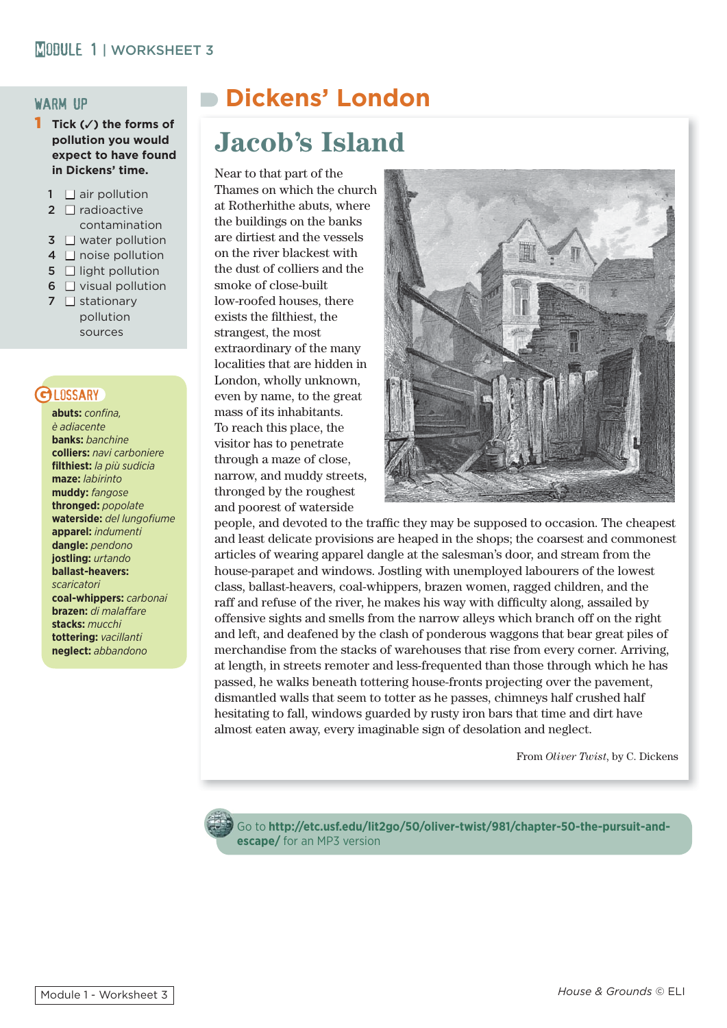# **MODULE 1 | WORKSHEET 3**

#### warm up

- 1 **Tick (**✓**) the forms of pollution you would expect to have found in Dickens' time.**
	- $1 \square$  air pollution
	- $2 \square$  radioactive contamination
	- $3 \square$  water pollution
	- $4 \square$  noise pollution
	- $5 \cap$  light pollution
	- $6 \square$  visual pollution
	- $7 \square$  stationary pollution sources

# LOSSARY

**abuts:** *confi na, è adiacente* **banks:** *banchine* **colliers:** *navi carboniere* **fi lthiest:** *la più sudicia* **maze:** *labirinto* **muddy:** *fangose* **thronged:** *popolate* **waterside:** del lungofiume **apparel:** *indumenti* **dangle:** *pendono* **jostling:** *urtando* **ballast-heavers:** *scaricatori*  **coal-whippers:** *carbonai* **brazen:** di malaffare **stacks:** *mucchi* **tottering:** *vacillanti* **neglect:** *abbandono*

# **Dickens' London**

# **Jacob's Island**

Near to that part of the Thames on which the church at Rotherhithe abuts, where the buildings on the banks are dirtiest and the vessels on the river blackest with the dust of colliers and the smoke of close-built low-roofed houses, there exists the filthiest, the strangest, the most extraordinary of the many localities that are hidden in London, wholly unknown, even by name, to the great mass of its inhabitants. To reach this place, the visitor has to penetrate through a maze of close, narrow, and muddy streets, thronged by the roughest and poorest of waterside



people, and devoted to the traffic they may be supposed to occasion. The cheapest and least delicate provisions are heaped in the shops; the coarsest and commonest articles of wearing apparel dangle at the salesman's door, and stream from the house-parapet and windows. Jostling with unemployed labourers of the lowest class, ballast-heavers, coal-whippers, brazen women, ragged children, and the raff and refuse of the river, he makes his way with difficulty along, assailed by offensive sights and smells from the narrow alleys which branch off on the right and left, and deafened by the clash of ponderous waggons that bear great piles of merchandise from the stacks of warehouses that rise from every corner. Arriving, at length, in streets remoter and less-frequented than those through which he has passed, he walks beneath tottering house-fronts projecting over the pavement, dismantled walls that seem to totter as he passes, chimneys half crushed half hesitating to fall, windows guarded by rusty iron bars that time and dirt have almost eaten away, every imaginable sign of desolation and neglect.

From *Oliver Twist*, by C. Dickens



Go to **http://etc.usf.edu/lit2go/50/oliver-twist/981/chapter-50-the-pursuit-andescape/** for an MP3 version